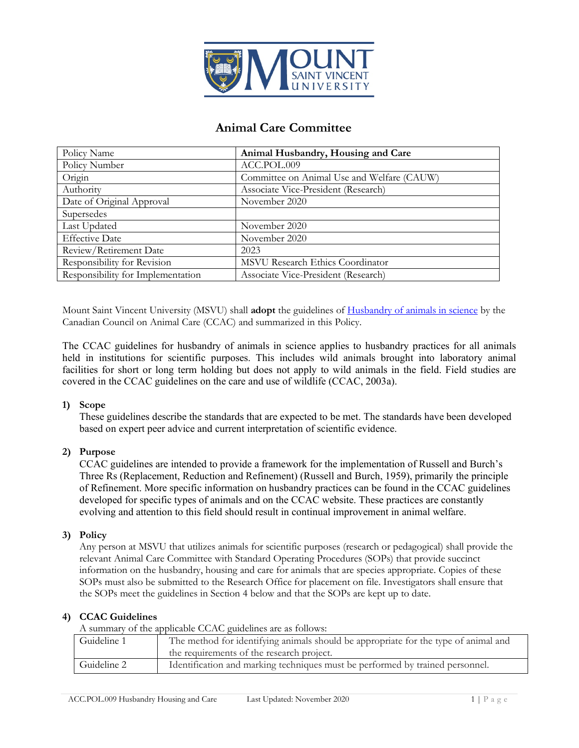

# **Animal Care Committee**

| Policy Name                       | Animal Husbandry, Housing and Care         |
|-----------------------------------|--------------------------------------------|
| Policy Number                     | ACC.POL.009                                |
| Origin                            | Committee on Animal Use and Welfare (CAUW) |
| Authority                         | Associate Vice-President (Research)        |
| Date of Original Approval         | November 2020                              |
| Supersedes                        |                                            |
| Last Updated                      | November 2020                              |
| <b>Effective Date</b>             | November 2020                              |
| Review/Retirement Date            | 2023                                       |
| Responsibility for Revision       | MSVU Research Ethics Coordinator           |
| Responsibility for Implementation | Associate Vice-President (Research)        |

Mount Saint Vincent University (MSVU) shall **adopt** the guidelines of [Husbandry of animals in science](https://www.ccac.ca/Documents/Standards/Guidelines/CCAC-guidelines-on-husbandry-of-animals-in-science.pdf) by the Canadian Council on Animal Care (CCAC) and summarized in this Policy.

The CCAC guidelines for husbandry of animals in science applies to husbandry practices for all animals held in institutions for scientific purposes. This includes wild animals brought into laboratory animal facilities for short or long term holding but does not apply to wild animals in the field. Field studies are covered in the CCAC guidelines on the care and use of wildlife (CCAC, 2003a).

### **1) Scope**

These guidelines describe the standards that are expected to be met. The standards have been developed based on expert peer advice and current interpretation of scientific evidence.

### **2) Purpose**

CCAC guidelines are intended to provide a framework for the implementation of Russell and Burch's Three Rs (Replacement, Reduction and Refinement) (Russell and Burch, 1959), primarily the principle of Refinement. More specific information on husbandry practices can be found in the CCAC guidelines developed for specific types of animals and on the CCAC website. These practices are constantly evolving and attention to this field should result in continual improvement in animal welfare.

### **3) Policy**

Any person at MSVU that utilizes animals for scientific purposes (research or pedagogical) shall provide the relevant Animal Care Committee with Standard Operating Procedures (SOPs) that provide succinct information on the husbandry, housing and care for animals that are species appropriate. Copies of these SOPs must also be submitted to the Research Office for placement on file. Investigators shall ensure that the SOPs meet the guidelines in Section 4 below and that the SOPs are kept up to date.

### **4) CCAC Guidelines**

A summary of the applicable CCAC guidelines are as follows:

| Guideline 1 | The method for identifying animals should be appropriate for the type of animal and |
|-------------|-------------------------------------------------------------------------------------|
|             | the requirements of the research project.                                           |
| Guideline 2 | Identification and marking techniques must be performed by trained personnel.       |